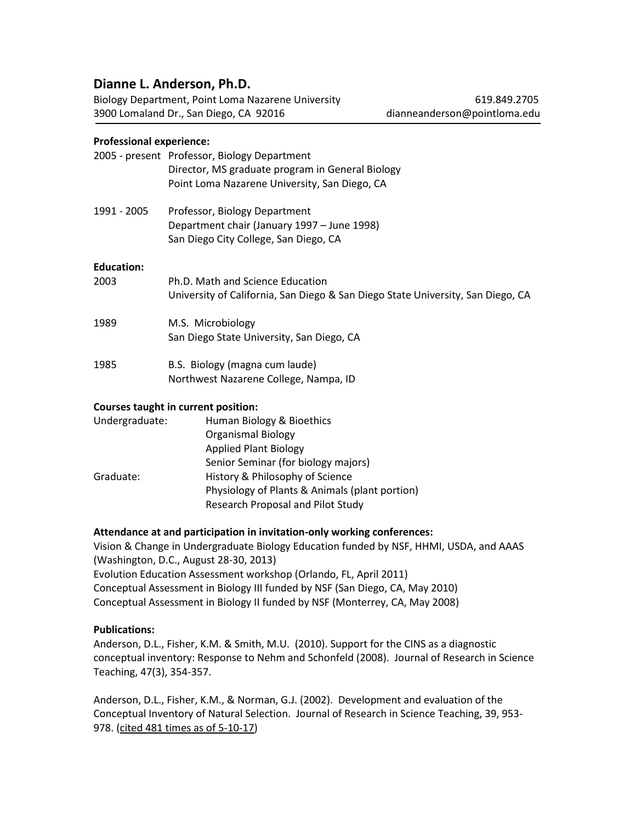# **Dianne L. Anderson, Ph.D.**

Biology Department, Point Loma Nazarene University **619.849.2705** 619.849.2705 3900 Lomaland Dr., San Diego, CA 92016 [dianneanderson@pointloma.edu](mailto:dianneanderson@pointloma.edu)

# **Professional experience:**

|                   | 2005 - present Professor, Biology Department<br>Director, MS graduate program in General Biology<br>Point Loma Nazarene University, San Diego, CA |
|-------------------|---------------------------------------------------------------------------------------------------------------------------------------------------|
| 1991 - 2005       | Professor, Biology Department<br>Department chair (January 1997 - June 1998)<br>San Diego City College, San Diego, CA                             |
| <b>Education:</b> |                                                                                                                                                   |
| 2003              | Ph.D. Math and Science Education<br>University of California, San Diego & San Diego State University, San Diego, CA                               |
| 1989              | M.S. Microbiology<br>San Diego State University, San Diego, CA                                                                                    |
| 1985              | B.S. Biology (magna cum laude)<br>Northwest Nazarene College, Nampa, ID                                                                           |
|                   | <b>Courses taught in current position:</b>                                                                                                        |
| Undergraduate:    | Human Biology & Bioethics                                                                                                                         |
|                   | <b>Organismal Biology</b>                                                                                                                         |
|                   | <b>Applied Plant Biology</b>                                                                                                                      |
|                   | Cantan Canaturan (fan hielam) in atana)                                                                                                           |

Senior Seminar (for biology majors) Graduate: History & Philosophy of Science Physiology of Plants & Animals (plant portion) Research Proposal and Pilot Study

# **Attendance at and participation in invitation-only working conferences:**

Vision & Change in Undergraduate Biology Education funded by NSF, HHMI, USDA, and AAAS (Washington, D.C., August 28-30, 2013) Evolution Education Assessment workshop (Orlando, FL, April 2011) Conceptual Assessment in Biology III funded by NSF (San Diego, CA, May 2010) Conceptual Assessment in Biology II funded by NSF (Monterrey, CA, May 2008)

# **Publications:**

Anderson, D.L., Fisher, K.M. & Smith, M.U. (2010). Support for the CINS as a diagnostic conceptual inventory: Response to Nehm and Schonfeld (2008). Journal of Research in Science Teaching, 47(3), 354-357.

Anderson, D.L., Fisher, K.M., & Norman, G.J. (2002). Development and evaluation of the Conceptual Inventory of Natural Selection. Journal of Research in Science Teaching, 39, 953- 978. (cited 481 times as of 5-10-17)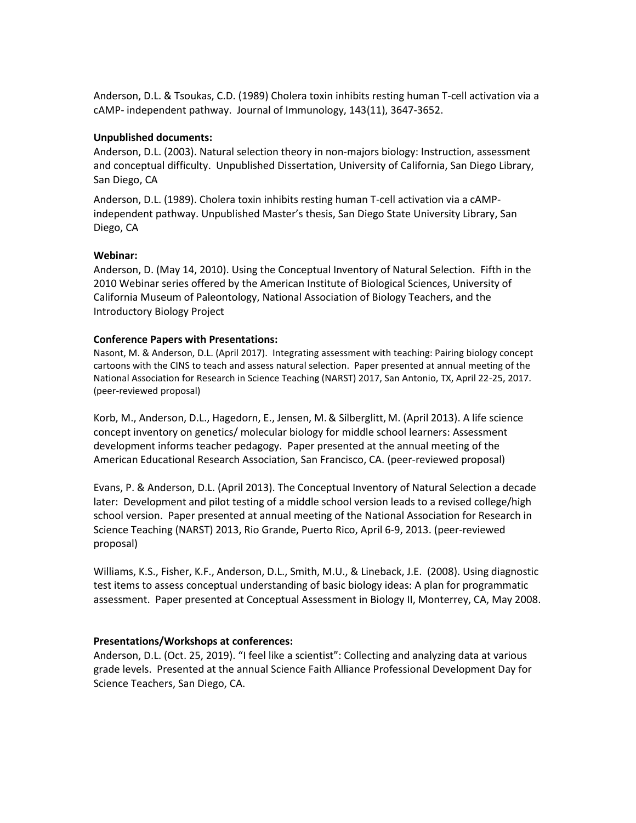Anderson, D.L. & Tsoukas, C.D. (1989) Cholera toxin inhibits resting human T-cell activation via a cAMP- independent pathway. Journal of Immunology, 143(11), 3647-3652.

#### **Unpublished documents:**

Anderson, D.L. (2003). Natural selection theory in non-majors biology: Instruction, assessment and conceptual difficulty. Unpublished Dissertation, University of California, San Diego Library, San Diego, CA

Anderson, D.L. (1989). Cholera toxin inhibits resting human T-cell activation via a cAMPindependent pathway. Unpublished Master's thesis, San Diego State University Library, San Diego, CA

#### **Webinar:**

Anderson, D. (May 14, 2010). Using the Conceptual Inventory of Natural Selection. Fifth in the 2010 Webinar series offered by the American Institute of Biological Sciences, University of California Museum of Paleontology, National Association of Biology Teachers, and the Introductory Biology Project

#### **Conference Papers with Presentations:**

Nasont, M. & Anderson, D.L. (April 2017). Integrating assessment with teaching: Pairing biology concept cartoons with the CINS to teach and assess natural selection. Paper presented at annual meeting of the National Association for Research in Science Teaching (NARST) 2017, San Antonio, TX, April 22-25, 2017. (peer-reviewed proposal)

Korb, M., Anderson, D.L., Hagedorn, E., Jensen, M.& Silberglitt, M. (April 2013). A life science concept inventory on genetics/ molecular biology for middle school learners: Assessment development informs teacher pedagogy. Paper presented at the annual meeting of the American Educational Research Association, San Francisco, CA. (peer-reviewed proposal)

Evans, P. & Anderson, D.L. (April 2013). The Conceptual Inventory of Natural Selection a decade later: Development and pilot testing of a middle school version leads to a revised college/high school version. Paper presented at annual meeting of the National Association for Research in Science Teaching (NARST) 2013, Rio Grande, Puerto Rico, April 6-9, 2013. (peer-reviewed proposal)

Williams, K.S., Fisher, K.F., Anderson, D.L., Smith, M.U., & Lineback, J.E. (2008). Using diagnostic test items to assess conceptual understanding of basic biology ideas: A plan for programmatic assessment. Paper presented at Conceptual Assessment in Biology II, Monterrey, CA, May 2008.

# **Presentations/Workshops at conferences:**

Anderson, D.L. (Oct. 25, 2019). "I feel like a scientist": Collecting and analyzing data at various grade levels. Presented at the annual Science Faith Alliance Professional Development Day for Science Teachers, San Diego, CA.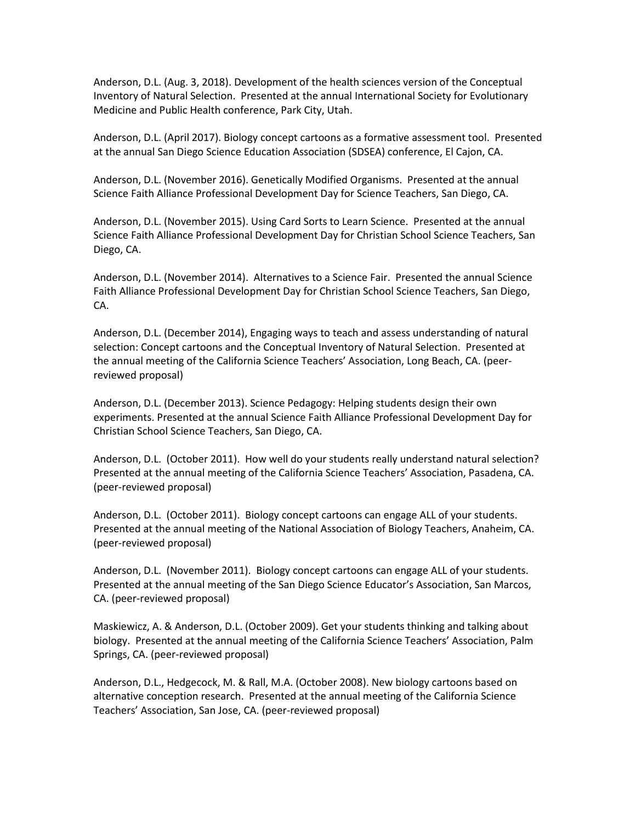Anderson, D.L. (Aug. 3, 2018). Development of the health sciences version of the Conceptual Inventory of Natural Selection. Presented at the annual International Society for Evolutionary Medicine and Public Health conference, Park City, Utah.

Anderson, D.L. (April 2017). Biology concept cartoons as a formative assessment tool. Presented at the annual San Diego Science Education Association (SDSEA) conference, El Cajon, CA.

Anderson, D.L. (November 2016). Genetically Modified Organisms. Presented at the annual Science Faith Alliance Professional Development Day for Science Teachers, San Diego, CA.

Anderson, D.L. (November 2015). Using Card Sorts to Learn Science. Presented at the annual Science Faith Alliance Professional Development Day for Christian School Science Teachers, San Diego, CA.

Anderson, D.L. (November 2014). Alternatives to a Science Fair. Presented the annual Science Faith Alliance Professional Development Day for Christian School Science Teachers, San Diego, CA.

Anderson, D.L. (December 2014), Engaging ways to teach and assess understanding of natural selection: Concept cartoons and the Conceptual Inventory of Natural Selection. Presented at the annual meeting of the California Science Teachers' Association, Long Beach, CA. (peerreviewed proposal)

Anderson, D.L. (December 2013). Science Pedagogy: Helping students design their own experiments. Presented at the annual Science Faith Alliance Professional Development Day for Christian School Science Teachers, San Diego, CA.

Anderson, D.L. (October 2011). How well do your students really understand natural selection? Presented at the annual meeting of the California Science Teachers' Association, Pasadena, CA. (peer-reviewed proposal)

Anderson, D.L. (October 2011). Biology concept cartoons can engage ALL of your students. Presented at the annual meeting of the National Association of Biology Teachers, Anaheim, CA. (peer-reviewed proposal)

Anderson, D.L. (November 2011). Biology concept cartoons can engage ALL of your students. Presented at the annual meeting of the San Diego Science Educator's Association, San Marcos, CA. (peer-reviewed proposal)

Maskiewicz, A. & Anderson, D.L. (October 2009). Get your students thinking and talking about biology. Presented at the annual meeting of the California Science Teachers' Association, Palm Springs, CA. (peer-reviewed proposal)

Anderson, D.L., Hedgecock, M. & Rall, M.A. (October 2008). New biology cartoons based on alternative conception research. Presented at the annual meeting of the California Science Teachers' Association, San Jose, CA. (peer-reviewed proposal)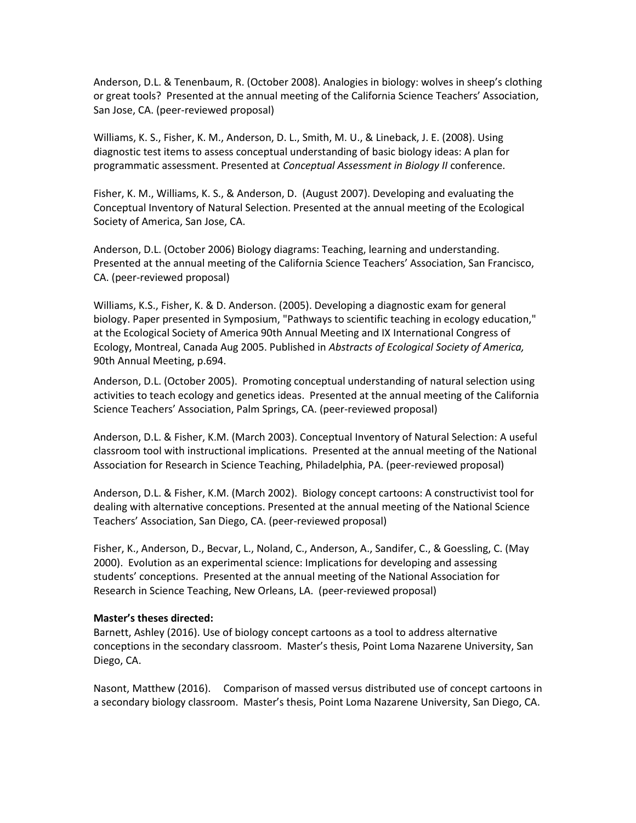Anderson, D.L. & Tenenbaum, R. (October 2008). Analogies in biology: wolves in sheep's clothing or great tools? Presented at the annual meeting of the California Science Teachers' Association, San Jose, CA. (peer-reviewed proposal)

Williams, K. S., Fisher, K. M., Anderson, D. L., Smith, M. U., & Lineback, J. E. (2008). Using diagnostic test items to assess conceptual understanding of basic biology ideas: A plan for programmatic assessment. Presented at *Conceptual Assessment in Biology II* conference.

Fisher, K. M., Williams, K. S., & Anderson, D. (August 2007). Developing and evaluating the Conceptual Inventory of Natural Selection. Presented at the annual meeting of the Ecological Society of America, San Jose, CA.

Anderson, D.L. (October 2006) Biology diagrams: Teaching, learning and understanding. Presented at the annual meeting of the California Science Teachers' Association, San Francisco, CA. (peer-reviewed proposal)

Williams, K.S., Fisher, K. & D. Anderson. (2005). Developing a diagnostic exam for general biology. Paper presented in Symposium, "Pathways to scientific teaching in ecology education," at the Ecological Society of America 90th Annual Meeting and IX International Congress of Ecology, Montreal, Canada Aug 2005. Published in *Abstracts of Ecological Society of America,* 90th Annual Meeting, p.694.

Anderson, D.L. (October 2005). Promoting conceptual understanding of natural selection using activities to teach ecology and genetics ideas. Presented at the annual meeting of the California Science Teachers' Association, Palm Springs, CA. (peer-reviewed proposal)

Anderson, D.L. & Fisher, K.M. (March 2003). Conceptual Inventory of Natural Selection: A useful classroom tool with instructional implications. Presented at the annual meeting of the National Association for Research in Science Teaching, Philadelphia, PA. (peer-reviewed proposal)

Anderson, D.L. & Fisher, K.M. (March 2002). Biology concept cartoons: A constructivist tool for dealing with alternative conceptions. Presented at the annual meeting of the National Science Teachers' Association, San Diego, CA. (peer-reviewed proposal)

Fisher, K., Anderson, D., Becvar, L., Noland, C., Anderson, A., Sandifer, C., & Goessling, C. (May 2000). Evolution as an experimental science: Implications for developing and assessing students' conceptions. Presented at the annual meeting of the National Association for Research in Science Teaching, New Orleans, LA. (peer-reviewed proposal)

#### **Master's theses directed:**

Barnett, Ashley (2016). Use of biology concept cartoons as a tool to address alternative conceptions in the secondary classroom. Master's thesis, Point Loma Nazarene University, San Diego, CA.

Nasont, Matthew (2016). Comparison of massed versus distributed use of concept cartoons in a secondary biology classroom. Master's thesis, Point Loma Nazarene University, San Diego, CA.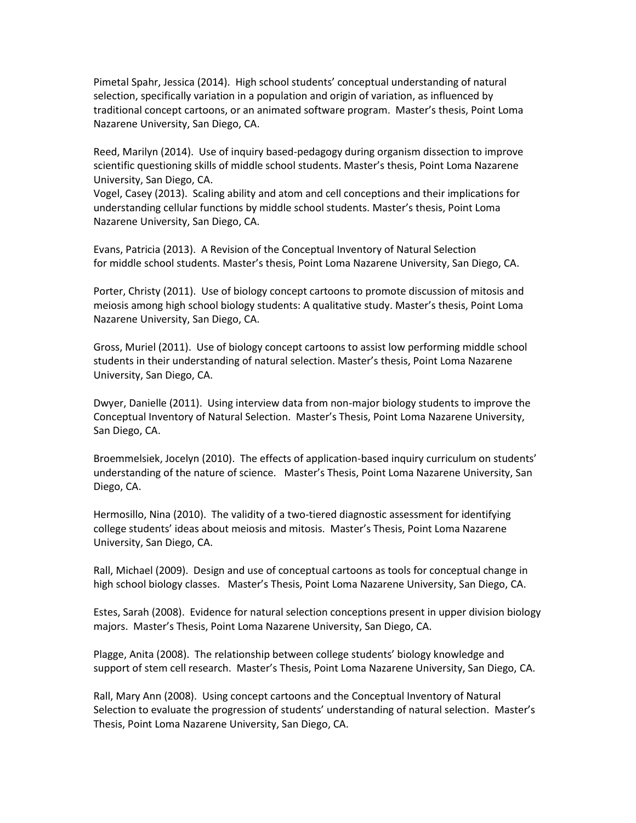Pimetal Spahr, Jessica (2014). High school students' conceptual understanding of natural selection, specifically variation in a population and origin of variation, as influenced by traditional concept cartoons, or an animated software program. Master's thesis, Point Loma Nazarene University, San Diego, CA.

Reed, Marilyn (2014). Use of inquiry based-pedagogy during organism dissection to improve scientific questioning skills of middle school students. Master's thesis, Point Loma Nazarene University, San Diego, CA.

Vogel, Casey (2013). Scaling ability and atom and cell conceptions and their implications for understanding cellular functions by middle school students. Master's thesis, Point Loma Nazarene University, San Diego, CA.

Evans, Patricia (2013). A Revision of the Conceptual Inventory of Natural Selection for middle school students. Master's thesis, Point Loma Nazarene University, San Diego, CA.

Porter, Christy (2011). Use of biology concept cartoons to promote discussion of mitosis and meiosis among high school biology students: A qualitative study. Master's thesis, Point Loma Nazarene University, San Diego, CA.

Gross, Muriel (2011). Use of biology concept cartoons to assist low performing middle school students in their understanding of natural selection. Master's thesis, Point Loma Nazarene University, San Diego, CA.

Dwyer, Danielle (2011). Using interview data from non-major biology students to improve the Conceptual Inventory of Natural Selection. Master's Thesis, Point Loma Nazarene University, San Diego, CA.

Broemmelsiek, Jocelyn (2010). The effects of application-based inquiry curriculum on students' understanding of the nature of science. Master's Thesis, Point Loma Nazarene University, San Diego, CA.

Hermosillo, Nina (2010). The validity of a two-tiered diagnostic assessment for identifying college students' ideas about meiosis and mitosis. Master's Thesis, Point Loma Nazarene University, San Diego, CA.

Rall, Michael (2009). Design and use of conceptual cartoons as tools for conceptual change in high school biology classes. Master's Thesis, Point Loma Nazarene University, San Diego, CA.

Estes, Sarah (2008). Evidence for natural selection conceptions present in upper division biology majors. Master's Thesis, Point Loma Nazarene University, San Diego, CA.

Plagge, Anita (2008). The relationship between college students' biology knowledge and support of stem cell research. Master's Thesis, Point Loma Nazarene University, San Diego, CA.

Rall, Mary Ann (2008). Using concept cartoons and the Conceptual Inventory of Natural Selection to evaluate the progression of students' understanding of natural selection. Master's Thesis, Point Loma Nazarene University, San Diego, CA.